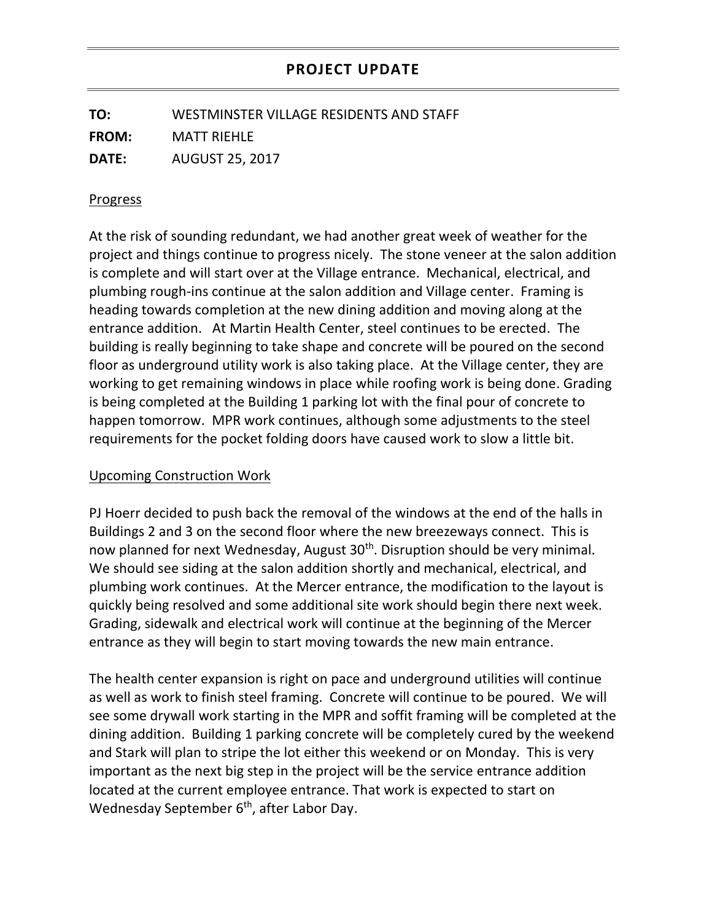**TO:** WESTMINSTER VILLAGE RESIDENTS AND STAFF **FROM:** MATT RIEHLE **DATE:** AUGUST 25, 2017

## Progress

At the risk of sounding redundant, we had another great week of weather for the project and things continue to progress nicely. The stone veneer at the salon addition is complete and will start over at the Village entrance. Mechanical, electrical, and plumbing rough-ins continue at the salon addition and Village center. Framing is heading towards completion at the new dining addition and moving along at the entrance addition. At Martin Health Center, steel continues to be erected. The building is really beginning to take shape and concrete will be poured on the second floor as underground utility work is also taking place. At the Village center, they are working to get remaining windows in place while roofing work is being done. Grading is being completed at the Building 1 parking lot with the final pour of concrete to happen tomorrow. MPR work continues, although some adjustments to the steel requirements for the pocket folding doors have caused work to slow a little bit.

## Upcoming Construction Work

PJ Hoerr decided to push back the removal of the windows at the end of the halls in Buildings 2 and 3 on the second floor where the new breezeways connect. This is now planned for next Wednesday, August 30<sup>th</sup>. Disruption should be very minimal. We should see siding at the salon addition shortly and mechanical, electrical, and plumbing work continues. At the Mercer entrance, the modification to the layout is quickly being resolved and some additional site work should begin there next week. Grading, sidewalk and electrical work will continue at the beginning of the Mercer entrance as they will begin to start moving towards the new main entrance.

The health center expansion is right on pace and underground utilities will continue as well as work to finish steel framing. Concrete will continue to be poured. We will see some drywall work starting in the MPR and soffit framing will be completed at the dining addition. Building 1 parking concrete will be completely cured by the weekend and Stark will plan to stripe the lot either this weekend or on Monday. This is very important as the next big step in the project will be the service entrance addition located at the current employee entrance. That work is expected to start on Wednesday September 6<sup>th</sup>, after Labor Day.